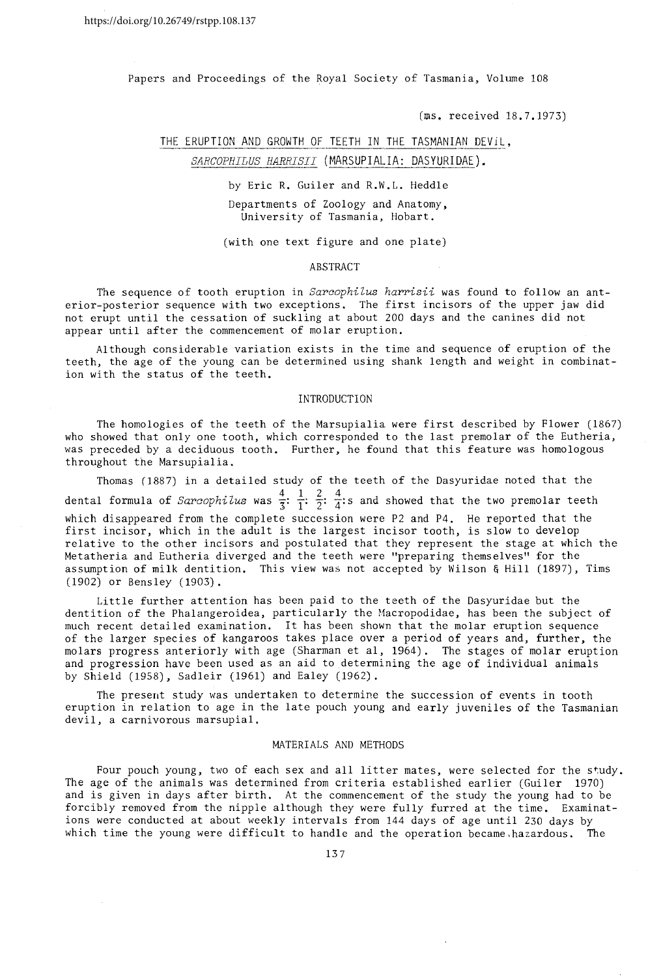Papers and Proceedings of the Royal Society of Tasmania, Volume 108

(ms~ received 18.7.1973)

# THE ERUPTION AND GROWTH OF TEETH IN THE TASMANIAN DEVIL,

# SARCOPHILUS HARRISII (MARSUPIALIA: DASYURIDAE).

by Eric R. Guiler and R.W.L. Heddle Departments of Zoology and Anatomy, University of Tasmania, Hobart.

(with one text figure and one plate)

#### ABSTRACT

The sequence of tooth eruption in *Sarcophilus harrisii* was found to follow an anterior-posterior sequence with two exceptions. The first incisors of the upper jaw did not erupt until the cessation of suckling at about 200 days and the canines did not appear until after the commencement of molar eruption.

Although considerable variation exists in the time and sequence of eruption of the teeth, the age of the young can be determined using shank length and weight in combination with the status of the teeth.

#### INTRODUCTION

The homologies of the teeth of the Marsupialia were first described by Flower (1867) who showed that only one tooth, which corresponded to the last premolar of the Eutheria, was preceded by a deciduous tooth. Further, he found that this feature was homologous throughout the Marsupialia.

Thomas (1887) in a detailed study of the teeth of the Dasyuridae noted that the dental formula of Sarcophilus was  $\frac{4}{3}$ :  $\frac{1}{1}$ :  $\frac{2}{2}$ :  $\frac{4}{4}$ : s and showed that the two premolar teeth which disappeared from the complete succession were P2 and P4. He reported that the first incisor, which in the adult is the largest incisor tooth, is slow to develop relative to the other incisors and postulated that they represent the stage at which the Metatheria and Eutheria diverged and the teeth were "preparing themselves" for the assumption of milk dentition. This view was not accepted by Wilson & Hill (1897), Tims (1902) or Bensley (1903).

Little further attention has been paid to the teeth of the Dasyuridae but the dentition of the Phalangeroidea, particularly the Macropodidae, has been the subject of much recent detailed examination. It has been shown that the molar eruption sequence of the larger species of kangaroos takes place over a period of years and, further, the molars progress anteriorly with age (Sharman et aI, 1964). The stages of molar eruption and progression have been used as an aid to determining the age of individual animals by Shield (1958), Sadleir (1961) and Ealey (1962).

The present study was undertaken to determine the succession of events in tooth eruption in relation to age in the late pouch young and early juveniles of the Tasmanian devil, a carnivorous marsupial.

## MATERIALS AND METHODS

Four pouch young, two of each sex and all litter mates, were selected for the study. The age of the animals was determined from criteria established earlier (Guiler 1970) and is given in days after birth. At the commencement of the study the young had to be forcibly removed from the nipple although they were fully furred at the time. Examinations were conducted at about weekly intervals from 144 days of age until 230 days by which time the young were difficult to handle and the operation became. hazardous. The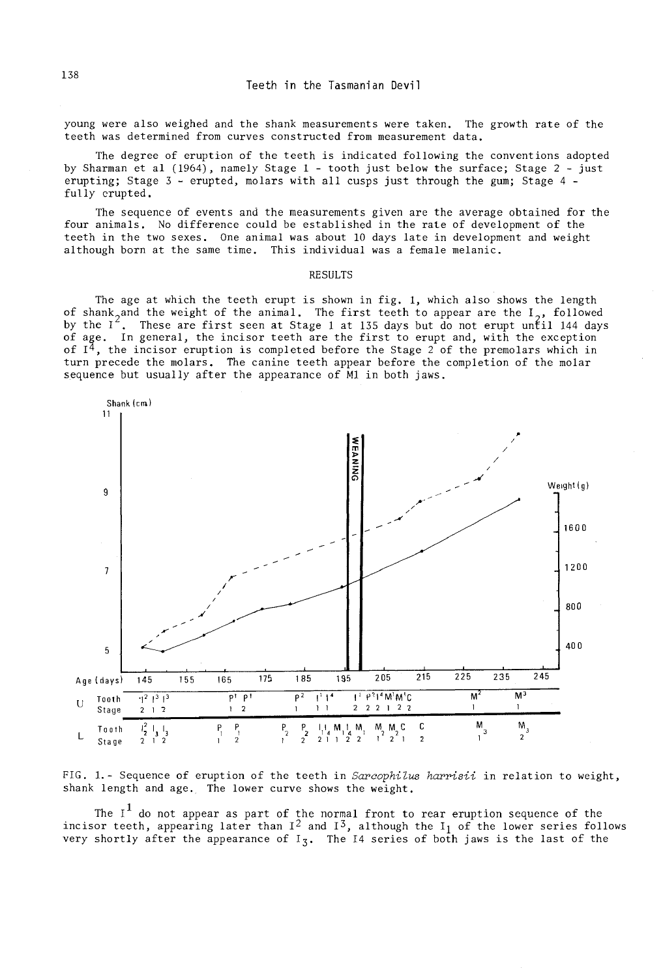young were also weighed and the shank measurements were taken. The growth rate of the teeth was determined from curves constructed from measurement data.

The degree of eruption of the teeth is indicated following the conventions adopted by Sharman et al (1964), namely Stage 1 - tooth just below the surface; Stage 2 - just erupting; Stage 3 - erupted, molars with all cusps just through the gum; Stage 4 fully crupted.

The sequence of events and the measurements given are the average obtained for the four animals. No difference could be established in the rate of development of the teeth in the two sexes. One animal was about 10 days late in development and weight although born at the same time. This individual was a female melanic.

### **RESULTS**

The age at which the teeth erupt is shown in fig. 1, which also shows the length of shank, and the weight of the animal. The first teeth to appear are the  $I_{\alpha}$ , followed by the  $I^2$ . These are first seen at Stage 1 at 135 days but do not erupt until 144 days<br>of age. In general, the incisor teeth are the first to erupt and, with the exception of  $I<sup>4</sup>$ , the incisor eruption is completed before the Stage 2 of the premolars which in turn precede the molars. The canine teeth appear before the completion of the molar sequence but usually after the appearance of M1 in both jaws.



FIG. 1.- Sequence of eruption of the teeth in Sarcophilus harrisit in relation to weight, shank length and age. The lower curve shows the weight.

The  $I^1$  do not appear as part of the normal front to rear eruption sequence of the incisor teeth, appearing later than  $I^2$  and  $I^3$ , although the  $I_1$  of the lower series follows very shortly after the appearance of  $I_3$ . The I4 series of both jaws is the last of the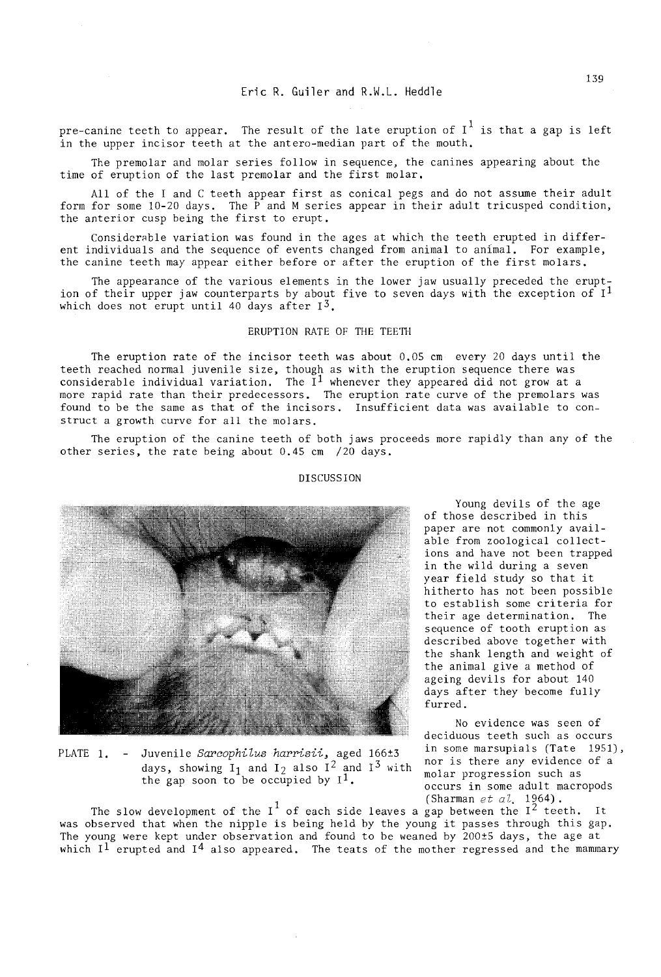pre-canine teeth to appear. The result of the late eruption of  $I^1$  is that a gap is left in the upper incisor teeth at the antero-median part of the mouth.

The premolar and molar series follow in sequence, the canines appearing about the time of eruption of the last premolar and the first molar.

All of the I and C teeth appear first as conical pegs and do not assume their adult form for some  $10-20$  days. The  $\hat{P}$  and M series appear in their adult tricusped condition, the anterior cusp being the first to erupt.

Considerable variation was found in the ages at which the teeth erupted in different individuals and the sequence of events changed from animal to animal. For example, the canine teeth may appear either before or after the eruption of the first molars.

The appearance of the various elements in the lower jaw usually preceded the eruption of their upper jaw counterparts by about five to seven days with the exception of  $I<sup>1</sup>$ which does not erupt until 40 days after  $I^3$ .

# ERUPTION RATE OF THE TEETH

The eruption rate of the incisor teeth was about 0.05 cm every 20 days until the teeth reached normal juvenile size, though as with the eruption sequence there was considerable individual variation. The  $I^1$  whenever they appeared did not grow at a more rapid rate than their predecessors. The eruption rate curve of the premolars was found to be the same as that of the incisors. Insufficient data was available to construct a growth curve for all the molars.

The eruption of the canine teeth of both jaws proceeds more rapidly than any of the other series, the rate being about 0.45 cm /20 days.



#### DISCUSSION

Young devils of the age of those described in this paper are not commonly available from zoological collections and have not been trapped in the wild during a seven year field study so that it hitherto has not been possible to establish some criteria for their age determination. The sequence of tooth eruption as described above together with the shank length and weight of the animal give a method of ageing devils for about 140 days after they become fully furred.

No evidence was seen of deciduous teeth such as occurs<br>in some marsupials (Tate 1951), <sup>1</sup> (Sharman *eta*l. 1964) .

PLATE 1. - Juvenile *Sarcophilus harrisii*, aged 166±3 in some marsupials (Tate 1951),<br>long the late of a solid and Tate 12 and 13 with nor is there any evidence of a days, showing  $I_1$  and  $I_2$  also  $I^2$  and  $I^3$  with nor is there any evidence  $I_1$  and  $I_2$  and  $I_3$  with nolar progression such as the gap soon to be occupied by  $I^1$ . Molar progression such as  $\overline{\phantom{0}}$  occurs in some adult macropods

The slow development of the  $I^1$  of each side leaves a gap between the  $I^2$  teeth. It was observed that when the nipple is being held by the young it passes through this gap. The young were kept under observation and found to be weaned by 200±5 days, the age at which  $I^1$  erupted and  $I^4$  also appeared. The teats of the mother regressed and the mammary

139